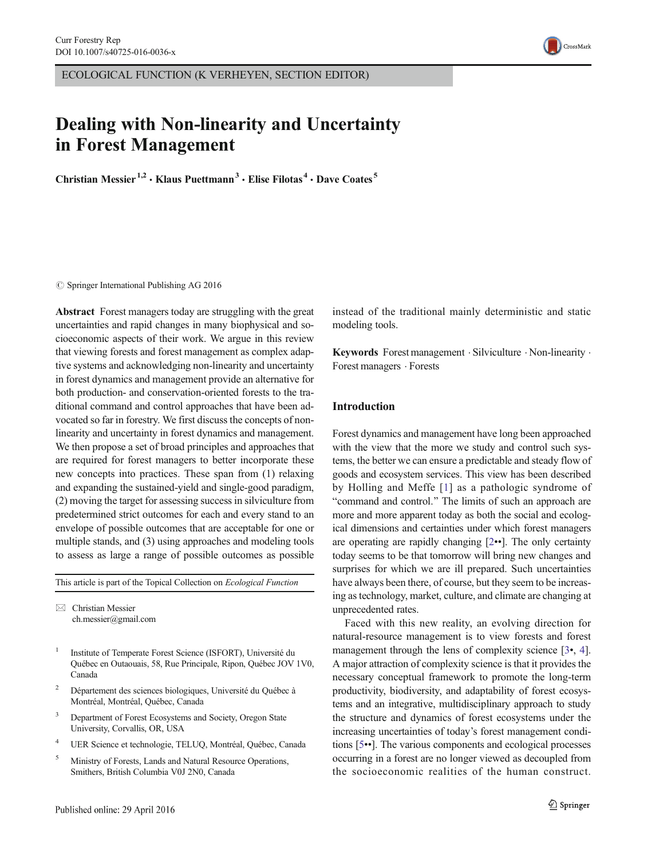ECOLOGICAL FUNCTION (K VERHEYEN, SECTION EDITOR)

# Dealing with Non-linearity and Uncertainty in Forest Management

Christian Messier<sup>1,2</sup>  $\cdot$  Klaus Puettmann<sup>3</sup>  $\cdot$  Elise Filotas<sup>4</sup>  $\cdot$  Dave Coates<sup>5</sup>

 $\oslash$  Springer International Publishing AG 2016

Abstract Forest managers today are struggling with the great uncertainties and rapid changes in many biophysical and socioeconomic aspects of their work. We argue in this review that viewing forests and forest management as complex adaptive systems and acknowledging non-linearity and uncertainty in forest dynamics and management provide an alternative for both production- and conservation-oriented forests to the traditional command and control approaches that have been advocated so far in forestry. We first discuss the concepts of nonlinearity and uncertainty in forest dynamics and management. We then propose a set of broad principles and approaches that are required for forest managers to better incorporate these new concepts into practices. These span from (1) relaxing and expanding the sustained-yield and single-good paradigm, (2) moving the target for assessing success in silviculture from predetermined strict outcomes for each and every stand to an envelope of possible outcomes that are acceptable for one or multiple stands, and (3) using approaches and modeling tools to assess as large a range of possible outcomes as possible

This article is part of the Topical Collection on Ecological Function

 $\boxtimes$  Christian Messier ch.messier@gmail.com

- <sup>1</sup> Institute of Temperate Forest Science (ISFORT), Université du Québec en Outaouais, 58, Rue Principale, Ripon, Québec JOV 1V0, Canada
- <sup>2</sup> Département des sciences biologiques, Université du Québec à Montréal, Montréal, Québec, Canada
- <sup>3</sup> Department of Forest Ecosystems and Society, Oregon State University, Corvallis, OR, USA
- <sup>4</sup> UER Science et technologie, TELUQ, Montréal, Québec, Canada
- <sup>5</sup> Ministry of Forests, Lands and Natural Resource Operations, Smithers, British Columbia V0J 2N0, Canada

instead of the traditional mainly deterministic and static modeling tools.

Keywords Forest management . Silviculture . Non-linearity . Forest managers . Forests

#### Introduction

Forest dynamics and management have long been approached with the view that the more we study and control such systems, the better we can ensure a predictable and steady flow of goods and ecosystem services. This view has been described by Holling and Meffe [\[1\]](#page-9-0) as a pathologic syndrome of "command and control." The limits of such an approach are more and more apparent today as both the social and ecological dimensions and certainties under which forest managers are operating are rapidly changing [\[2](#page-9-0)••]. The only certainty today seems to be that tomorrow will bring new changes and surprises for which we are ill prepared. Such uncertainties have always been there, of course, but they seem to be increasing as technology, market, culture, and climate are changing at unprecedented rates.

Faced with this new reality, an evolving direction for natural-resource management is to view forests and forest management through the lens of complexity science [[3](#page-9-0)•, [4\]](#page-9-0). A major attraction of complexity science is that it provides the necessary conceptual framework to promote the long-term productivity, biodiversity, and adaptability of forest ecosystems and an integrative, multidisciplinary approach to study the structure and dynamics of forest ecosystems under the increasing uncertainties of today's forest management conditions [[5](#page-9-0)••]. The various components and ecological processes occurring in a forest are no longer viewed as decoupled from the socioeconomic realities of the human construct.

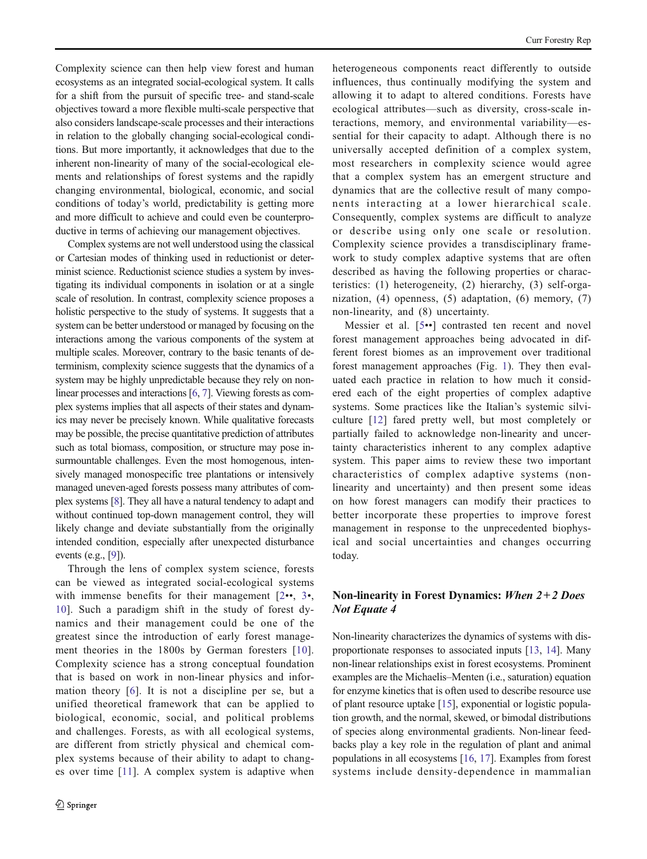Complexity science can then help view forest and human ecosystems as an integrated social-ecological system. It calls for a shift from the pursuit of specific tree- and stand-scale objectives toward a more flexible multi-scale perspective that also considers landscape-scale processes and their interactions in relation to the globally changing social-ecological conditions. But more importantly, it acknowledges that due to the inherent non-linearity of many of the social-ecological elements and relationships of forest systems and the rapidly changing environmental, biological, economic, and social conditions of today's world, predictability is getting more and more difficult to achieve and could even be counterproductive in terms of achieving our management objectives.

Complex systems are not well understood using the classical or Cartesian modes of thinking used in reductionist or determinist science. Reductionist science studies a system by investigating its individual components in isolation or at a single scale of resolution. In contrast, complexity science proposes a holistic perspective to the study of systems. It suggests that a system can be better understood or managed by focusing on the interactions among the various components of the system at multiple scales. Moreover, contrary to the basic tenants of determinism, complexity science suggests that the dynamics of a system may be highly unpredictable because they rely on nonlinear processes and interactions [\[6,](#page-9-0) [7\]](#page-9-0). Viewing forests as complex systems implies that all aspects of their states and dynamics may never be precisely known. While qualitative forecasts may be possible, the precise quantitative prediction of attributes such as total biomass, composition, or structure may pose insurmountable challenges. Even the most homogenous, intensively managed monospecific tree plantations or intensively managed uneven-aged forests possess many attributes of complex systems [\[8\]](#page-9-0). They all have a natural tendency to adapt and without continued top-down management control, they will likely change and deviate substantially from the originally intended condition, especially after unexpected disturbance events (e.g., [\[9](#page-9-0)]).

Through the lens of complex system science, forests can be viewed as integrated social-ecological systems with immense benefits for their management [\[2](#page-9-0)••, [3](#page-9-0)•, [10](#page-9-0)]. Such a paradigm shift in the study of forest dynamics and their management could be one of the greatest since the introduction of early forest management theories in the 1800s by German foresters [[10](#page-9-0)]. Complexity science has a strong conceptual foundation that is based on work in non-linear physics and information theory [[6\]](#page-9-0). It is not a discipline per se, but a unified theoretical framework that can be applied to biological, economic, social, and political problems and challenges. Forests, as with all ecological systems, are different from strictly physical and chemical complex systems because of their ability to adapt to changes over time [[11](#page-9-0)]. A complex system is adaptive when heterogeneous components react differently to outside influences, thus continually modifying the system and allowing it to adapt to altered conditions. Forests have ecological attributes—such as diversity, cross-scale interactions, memory, and environmental variability—essential for their capacity to adapt. Although there is no universally accepted definition of a complex system, most researchers in complexity science would agree that a complex system has an emergent structure and dynamics that are the collective result of many components interacting at a lower hierarchical scale. Consequently, complex systems are difficult to analyze or describe using only one scale or resolution. Complexity science provides a transdisciplinary framework to study complex adaptive systems that are often described as having the following properties or characteristics: (1) heterogeneity, (2) hierarchy, (3) self-organization, (4) openness, (5) adaptation, (6) memory, (7) non-linearity, and (8) uncertainty.

Messier et al. [[5](#page-9-0)••] contrasted ten recent and novel forest management approaches being advocated in different forest biomes as an improvement over traditional forest management approaches (Fig. [1](#page-2-0)). They then evaluated each practice in relation to how much it considered each of the eight properties of complex adaptive systems. Some practices like the Italian's systemic silviculture [[12](#page-9-0)] fared pretty well, but most completely or partially failed to acknowledge non-linearity and uncertainty characteristics inherent to any complex adaptive system. This paper aims to review these two important characteristics of complex adaptive systems (nonlinearity and uncertainty) and then present some ideas on how forest managers can modify their practices to better incorporate these properties to improve forest management in response to the unprecedented biophysical and social uncertainties and changes occurring today.

### Non-linearity in Forest Dynamics: When  $2+2$  Does Not Equate 4

Non-linearity characterizes the dynamics of systems with disproportionate responses to associated inputs [[13,](#page-9-0) [14](#page-9-0)]. Many non-linear relationships exist in forest ecosystems. Prominent examples are the Michaelis–Menten (i.e., saturation) equation for enzyme kinetics that is often used to describe resource use of plant resource uptake [\[15](#page-9-0)], exponential or logistic population growth, and the normal, skewed, or bimodal distributions of species along environmental gradients. Non-linear feedbacks play a key role in the regulation of plant and animal populations in all ecosystems [[16](#page-9-0), [17\]](#page-9-0). Examples from forest systems include density-dependence in mammalian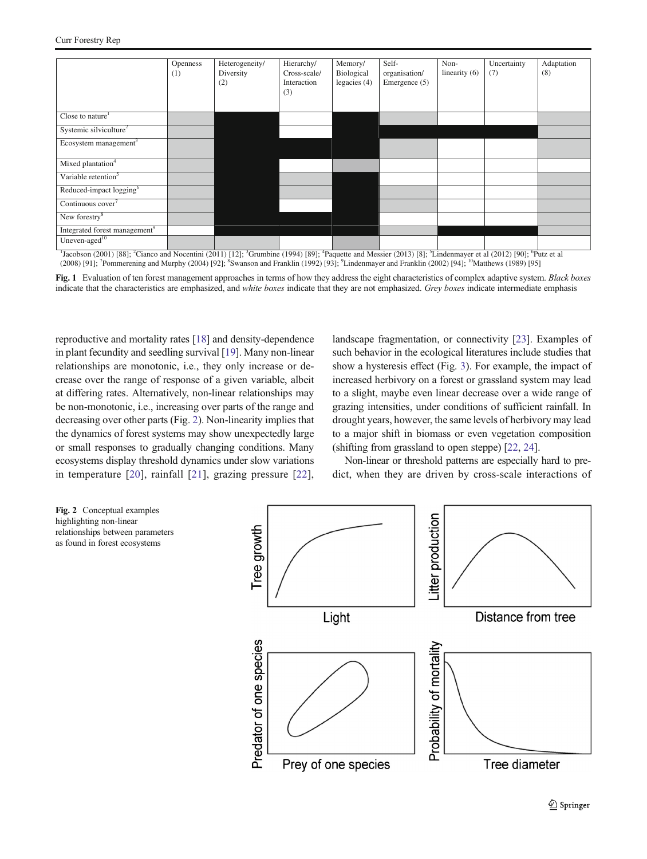<span id="page-2-0"></span>

|                                                                                                                                                                                                                                        | <b>Openness</b><br>(1) | Heterogeneity/<br>Diversity<br>(2) | Hierarchy/<br>Cross-scale/<br>Interaction<br>(3) | Memory/<br>Biological<br>legacies (4) | Self-<br>organisation/<br>Emergence (5) | Non-<br>linearity (6) | Uncertainty<br>(7) | Adaptation<br>(8) |
|----------------------------------------------------------------------------------------------------------------------------------------------------------------------------------------------------------------------------------------|------------------------|------------------------------------|--------------------------------------------------|---------------------------------------|-----------------------------------------|-----------------------|--------------------|-------------------|
| Close to nature <sup>1</sup>                                                                                                                                                                                                           |                        |                                    |                                                  |                                       |                                         |                       |                    |                   |
| Systemic silviculture <sup>2</sup>                                                                                                                                                                                                     |                        |                                    |                                                  |                                       |                                         |                       |                    |                   |
| Ecosystem management <sup>3</sup>                                                                                                                                                                                                      |                        |                                    |                                                  |                                       |                                         |                       |                    |                   |
| Mixed plantation <sup>4</sup>                                                                                                                                                                                                          |                        |                                    |                                                  |                                       |                                         |                       |                    |                   |
| Variable retention <sup>5</sup>                                                                                                                                                                                                        |                        |                                    |                                                  |                                       |                                         |                       |                    |                   |
| Reduced-impact logging <sup>6</sup>                                                                                                                                                                                                    |                        |                                    |                                                  |                                       |                                         |                       |                    |                   |
| Continuous cover <sup>7</sup>                                                                                                                                                                                                          |                        |                                    |                                                  |                                       |                                         |                       |                    |                   |
| New forestry <sup>8</sup>                                                                                                                                                                                                              |                        |                                    |                                                  |                                       |                                         |                       |                    |                   |
| Integrated forest management <sup>9</sup>                                                                                                                                                                                              |                        |                                    |                                                  |                                       |                                         |                       |                    |                   |
| Uneven-aged $10$                                                                                                                                                                                                                       |                        |                                    |                                                  |                                       |                                         |                       |                    |                   |
| <sup>1</sup> Jacobson (2001) [88]; <sup>2</sup> Cianco and Nocentini (2011) [12]; <sup>3</sup> Grumbine (1994) [89]; <sup>4</sup> Paquette and Messier (2013) [8]; <sup>5</sup> Lindenmayer et al (2012) [90]; <sup>6</sup> Putz et al |                        |                                    |                                                  |                                       |                                         |                       |                    |                   |

Putz et al (2008) [91]; <sup>7</sup>Pommerening and Murphy (2004) [92]; <sup>8</sup>Swanson and Franklin (1992) [93]; <sup>9</sup>Lindenmayer and Franklin (2002) [94]; <sup>10</sup>Matthews (1989) [95]

Fig. 1 Evaluation of ten forest management approaches in terms of how they address the eight characteristics of complex adaptive system. Black boxes indicate that the characteristics are emphasized, and white boxes indicate that they are not emphasized. Grey boxes indicate intermediate emphasis

reproductive and mortality rates [\[18\]](#page-9-0) and density-dependence in plant fecundity and seedling survival [\[19\]](#page-9-0). Many non-linear relationships are monotonic, i.e., they only increase or decrease over the range of response of a given variable, albeit at differing rates. Alternatively, non-linear relationships may be non-monotonic, i.e., increasing over parts of the range and decreasing over other parts (Fig. 2). Non-linearity implies that the dynamics of forest systems may show unexpectedly large or small responses to gradually changing conditions. Many ecosystems display threshold dynamics under slow variations in temperature [[20](#page-9-0)], rainfall [\[21\]](#page-9-0), grazing pressure [[22](#page-9-0)], landscape fragmentation, or connectivity [\[23\]](#page-9-0). Examples of such behavior in the ecological literatures include studies that show a hysteresis effect (Fig. [3\)](#page-3-0). For example, the impact of increased herbivory on a forest or grassland system may lead to a slight, maybe even linear decrease over a wide range of grazing intensities, under conditions of sufficient rainfall. In drought years, however, the same levels of herbivory may lead to a major shift in biomass or even vegetation composition (shifting from grassland to open steppe) [\[22](#page-9-0), [24\]](#page-9-0).

Non-linear or threshold patterns are especially hard to predict, when they are driven by cross-scale interactions of



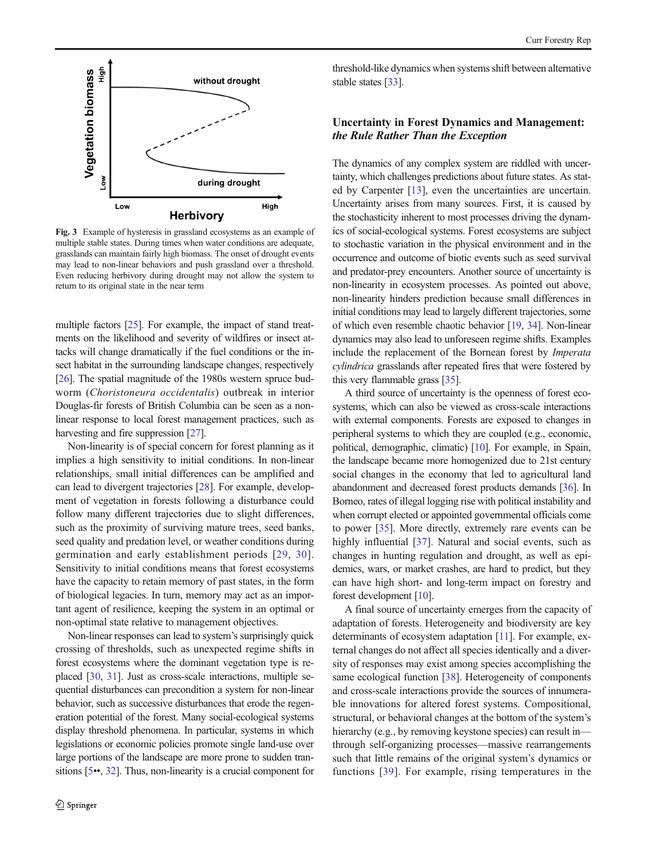<span id="page-3-0"></span>

Fig. 3 Example of hysteresis in grassland ecosystems as an example of multiple stable states. During times when water conditions are adequate, grasslands can maintain fairly high biomass. The onset of drought events may lead to non-linear behaviors and push grassland over a threshold. Even reducing herbivory during drought may not allow the system to return to its original state in the near term

multiple factors [[25](#page-9-0)]. For example, the impact of stand treatments on the likelihood and severity of wildfires or insect attacks will change dramatically if the fuel conditions or the insect habitat in the surrounding landscape changes, respectively [\[26\]](#page-9-0). The spatial magnitude of the 1980s western spruce budworm (Choristoneura occidentalis) outbreak in interior Douglas-fir forests of British Columbia can be seen as a nonlinear response to local forest management practices, such as harvesting and fire suppression [\[27\]](#page-10-0).

Non-linearity is of special concern for forest planning as it implies a high sensitivity to initial conditions. In non-linear relationships, small initial differences can be amplified and can lead to divergent trajectories [\[28](#page-10-0)]. For example, development of vegetation in forests following a disturbance could follow many different trajectories due to slight differences, such as the proximity of surviving mature trees, seed banks, seed quality and predation level, or weather conditions during germination and early establishment periods [[29](#page-10-0), [30](#page-10-0)]. Sensitivity to initial conditions means that forest ecosystems have the capacity to retain memory of past states, in the form of biological legacies. In turn, memory may act as an important agent of resilience, keeping the system in an optimal or non-optimal state relative to management objectives.

Non-linear responses can lead to system's surprisingly quick crossing of thresholds, such as unexpected regime shifts in forest ecosystems where the dominant vegetation type is replaced [[30](#page-10-0), [31](#page-10-0)]. Just as cross-scale interactions, multiple sequential disturbances can precondition a system for non-linear behavior, such as successive disturbances that erode the regeneration potential of the forest. Many social-ecological systems display threshold phenomena. In particular, systems in which legislations or economic policies promote single land-use over large portions of the landscape are more prone to sudden transitions [\[5](#page-9-0)••, [32\]](#page-10-0). Thus, non-linearity is a crucial component for

threshold-like dynamics when systems shift between alternative stable states [\[33\]](#page-10-0).

#### Uncertainty in Forest Dynamics and Management: the Rule Rather Than the Exception

The dynamics of any complex system are riddled with uncertainty, which challenges predictions about future states. As stated by Carpenter [[13](#page-9-0)], even the uncertainties are uncertain. Uncertainty arises from many sources. First, it is caused by the stochasticity inherent to most processes driving the dynamics of social-ecological systems. Forest ecosystems are subject to stochastic variation in the physical environment and in the occurrence and outcome of biotic events such as seed survival and predator-prey encounters. Another source of uncertainty is non-linearity in ecosystem processes. As pointed out above, non-linearity hinders prediction because small differences in initial conditions may lead to largely different trajectories, some of which even resemble chaotic behavior [\[19](#page-9-0), [34\]](#page-10-0). Non-linear dynamics may also lead to unforeseen regime shifts. Examples include the replacement of the Bornean forest by Imperata cylindrica grasslands after repeated fires that were fostered by this very flammable grass [[35](#page-10-0)].

A third source of uncertainty is the openness of forest ecosystems, which can also be viewed as cross-scale interactions with external components. Forests are exposed to changes in peripheral systems to which they are coupled (e.g., economic, political, demographic, climatic) [\[10\]](#page-9-0). For example, in Spain, the landscape became more homogenized due to 21st century social changes in the economy that led to agricultural land abandonment and decreased forest products demands [\[36\]](#page-10-0). In Borneo, rates of illegal logging rise with political instability and when corrupt elected or appointed governmental officials come to power [[35\]](#page-10-0). More directly, extremely rare events can be highly influential [\[37](#page-10-0)]. Natural and social events, such as changes in hunting regulation and drought, as well as epidemics, wars, or market crashes, are hard to predict, but they can have high short- and long-term impact on forestry and forest development [[10](#page-9-0)].

A final source of uncertainty emerges from the capacity of adaptation of forests. Heterogeneity and biodiversity are key determinants of ecosystem adaptation [\[11\]](#page-9-0). For example, external changes do not affect all species identically and a diversity of responses may exist among species accomplishing the same ecological function [\[38\]](#page-10-0). Heterogeneity of components and cross-scale interactions provide the sources of innumerable innovations for altered forest systems. Compositional, structural, or behavioral changes at the bottom of the system's hierarchy (e.g., by removing keystone species) can result inthrough self-organizing processes—massive rearrangements such that little remains of the original system's dynamics or functions [[39](#page-10-0)]. For example, rising temperatures in the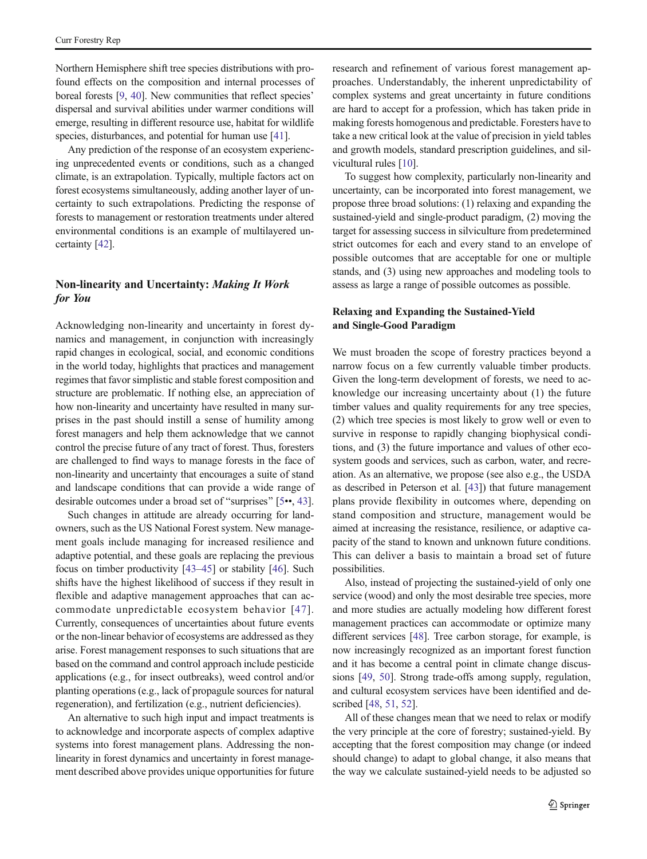Northern Hemisphere shift tree species distributions with profound effects on the composition and internal processes of boreal forests [\[9,](#page-9-0) [40](#page-10-0)]. New communities that reflect species' dispersal and survival abilities under warmer conditions will emerge, resulting in different resource use, habitat for wildlife species, disturbances, and potential for human use [\[41\]](#page-10-0).

Any prediction of the response of an ecosystem experiencing unprecedented events or conditions, such as a changed climate, is an extrapolation. Typically, multiple factors act on forest ecosystems simultaneously, adding another layer of uncertainty to such extrapolations. Predicting the response of forests to management or restoration treatments under altered environmental conditions is an example of multilayered uncertainty [\[42](#page-10-0)].

## Non-linearity and Uncertainty: Making It Work for You

Acknowledging non-linearity and uncertainty in forest dynamics and management, in conjunction with increasingly rapid changes in ecological, social, and economic conditions in the world today, highlights that practices and management regimes that favor simplistic and stable forest composition and structure are problematic. If nothing else, an appreciation of how non-linearity and uncertainty have resulted in many surprises in the past should instill a sense of humility among forest managers and help them acknowledge that we cannot control the precise future of any tract of forest. Thus, foresters are challenged to find ways to manage forests in the face of non-linearity and uncertainty that encourages a suite of stand and landscape conditions that can provide a wide range of desirable outcomes under a broad set of "surprises"  $[5•, 43]$  $[5•, 43]$  $[5•, 43]$ .

Such changes in attitude are already occurring for landowners, such as the US National Forest system. New management goals include managing for increased resilience and adaptive potential, and these goals are replacing the previous focus on timber productivity [[43](#page-10-0)–[45](#page-10-0)] or stability [[46\]](#page-10-0). Such shifts have the highest likelihood of success if they result in flexible and adaptive management approaches that can accommodate unpredictable ecosystem behavior [[47\]](#page-10-0). Currently, consequences of uncertainties about future events or the non-linear behavior of ecosystems are addressed as they arise. Forest management responses to such situations that are based on the command and control approach include pesticide applications (e.g., for insect outbreaks), weed control and/or planting operations (e.g., lack of propagule sources for natural regeneration), and fertilization (e.g., nutrient deficiencies).

An alternative to such high input and impact treatments is to acknowledge and incorporate aspects of complex adaptive systems into forest management plans. Addressing the nonlinearity in forest dynamics and uncertainty in forest management described above provides unique opportunities for future

research and refinement of various forest management approaches. Understandably, the inherent unpredictability of complex systems and great uncertainty in future conditions are hard to accept for a profession, which has taken pride in making forests homogenous and predictable. Foresters have to take a new critical look at the value of precision in yield tables and growth models, standard prescription guidelines, and silvicultural rules [\[10\]](#page-9-0).

To suggest how complexity, particularly non-linearity and uncertainty, can be incorporated into forest management, we propose three broad solutions: (1) relaxing and expanding the sustained-yield and single-product paradigm, (2) moving the target for assessing success in silviculture from predetermined strict outcomes for each and every stand to an envelope of possible outcomes that are acceptable for one or multiple stands, and (3) using new approaches and modeling tools to assess as large a range of possible outcomes as possible.

#### Relaxing and Expanding the Sustained-Yield and Single-Good Paradigm

We must broaden the scope of forestry practices beyond a narrow focus on a few currently valuable timber products. Given the long-term development of forests, we need to acknowledge our increasing uncertainty about (1) the future timber values and quality requirements for any tree species, (2) which tree species is most likely to grow well or even to survive in response to rapidly changing biophysical conditions, and (3) the future importance and values of other ecosystem goods and services, such as carbon, water, and recreation. As an alternative, we propose (see also e.g., the USDA as described in Peterson et al. [\[43\]](#page-10-0)) that future management plans provide flexibility in outcomes where, depending on stand composition and structure, management would be aimed at increasing the resistance, resilience, or adaptive capacity of the stand to known and unknown future conditions. This can deliver a basis to maintain a broad set of future possibilities.

Also, instead of projecting the sustained-yield of only one service (wood) and only the most desirable tree species, more and more studies are actually modeling how different forest management practices can accommodate or optimize many different services [\[48](#page-10-0)]. Tree carbon storage, for example, is now increasingly recognized as an important forest function and it has become a central point in climate change discussions [\[49](#page-10-0), [50](#page-10-0)]. Strong trade-offs among supply, regulation, and cultural ecosystem services have been identified and described [[48,](#page-10-0) [51](#page-10-0), [52](#page-10-0)].

All of these changes mean that we need to relax or modify the very principle at the core of forestry; sustained-yield. By accepting that the forest composition may change (or indeed should change) to adapt to global change, it also means that the way we calculate sustained-yield needs to be adjusted so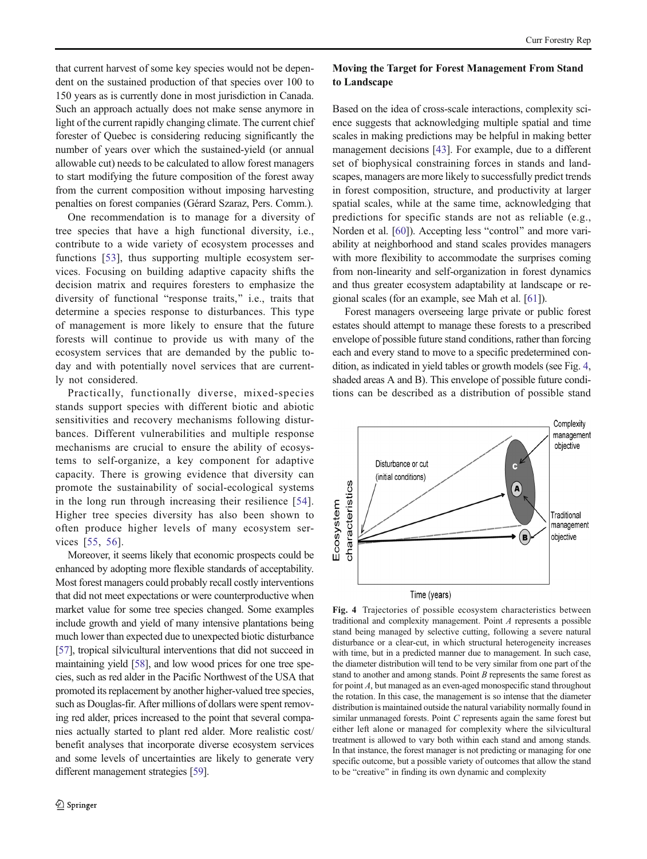<span id="page-5-0"></span>that current harvest of some key species would not be dependent on the sustained production of that species over 100 to 150 years as is currently done in most jurisdiction in Canada. Such an approach actually does not make sense anymore in light of the current rapidly changing climate. The current chief forester of Quebec is considering reducing significantly the number of years over which the sustained-yield (or annual allowable cut) needs to be calculated to allow forest managers to start modifying the future composition of the forest away from the current composition without imposing harvesting penalties on forest companies (Gérard Szaraz, Pers. Comm.).

One recommendation is to manage for a diversity of tree species that have a high functional diversity, i.e., contribute to a wide variety of ecosystem processes and functions [[53](#page-10-0)], thus supporting multiple ecosystem services. Focusing on building adaptive capacity shifts the decision matrix and requires foresters to emphasize the diversity of functional "response traits," i.e., traits that determine a species response to disturbances. This type of management is more likely to ensure that the future forests will continue to provide us with many of the ecosystem services that are demanded by the public today and with potentially novel services that are currently not considered.

Practically, functionally diverse, mixed-species stands support species with different biotic and abiotic sensitivities and recovery mechanisms following disturbances. Different vulnerabilities and multiple response mechanisms are crucial to ensure the ability of ecosystems to self-organize, a key component for adaptive capacity. There is growing evidence that diversity can promote the sustainability of social-ecological systems in the long run through increasing their resilience [[54](#page-10-0)]. Higher tree species diversity has also been shown to often produce higher levels of many ecosystem services [[55,](#page-10-0) [56](#page-10-0)].

Moreover, it seems likely that economic prospects could be enhanced by adopting more flexible standards of acceptability. Most forest managers could probably recall costly interventions that did not meet expectations or were counterproductive when market value for some tree species changed. Some examples include growth and yield of many intensive plantations being much lower than expected due to unexpected biotic disturbance [\[57\]](#page-10-0), tropical silvicultural interventions that did not succeed in maintaining yield [\[58\]](#page-10-0), and low wood prices for one tree species, such as red alder in the Pacific Northwest of the USA that promoted its replacement by another higher-valued tree species, such as Douglas-fir. After millions of dollars were spent removing red alder, prices increased to the point that several companies actually started to plant red alder. More realistic cost/ benefit analyses that incorporate diverse ecosystem services and some levels of uncertainties are likely to generate very different management strategies [[59](#page-10-0)].

#### Moving the Target for Forest Management From Stand to Landscape

Based on the idea of cross-scale interactions, complexity science suggests that acknowledging multiple spatial and time scales in making predictions may be helpful in making better management decisions [\[43](#page-10-0)]. For example, due to a different set of biophysical constraining forces in stands and landscapes, managers are more likely to successfully predict trends in forest composition, structure, and productivity at larger spatial scales, while at the same time, acknowledging that predictions for specific stands are not as reliable (e.g., Norden et al. [\[60\]](#page-10-0)). Accepting less "control" and more variability at neighborhood and stand scales provides managers with more flexibility to accommodate the surprises coming from non-linearity and self-organization in forest dynamics and thus greater ecosystem adaptability at landscape or regional scales (for an example, see Mah et al. [\[61](#page-10-0)]).

Forest managers overseeing large private or public forest estates should attempt to manage these forests to a prescribed envelope of possible future stand conditions, rather than forcing each and every stand to move to a specific predetermined condition, as indicated in yield tables or growth models (see Fig. 4, shaded areas A and B). This envelope of possible future conditions can be described as a distribution of possible stand



Fig. 4 Trajectories of possible ecosystem characteristics between traditional and complexity management. Point A represents a possible stand being managed by selective cutting, following a severe natural disturbance or a clear-cut, in which structural heterogeneity increases with time, but in a predicted manner due to management. In such case, the diameter distribution will tend to be very similar from one part of the stand to another and among stands. Point  $B$  represents the same forest as for point A, but managed as an even-aged monospecific stand throughout the rotation. In this case, the management is so intense that the diameter distribution is maintained outside the natural variability normally found in similar unmanaged forests. Point C represents again the same forest but either left alone or managed for complexity where the silvicultural treatment is allowed to vary both within each stand and among stands. In that instance, the forest manager is not predicting or managing for one specific outcome, but a possible variety of outcomes that allow the stand to be "creative" in finding its own dynamic and complexity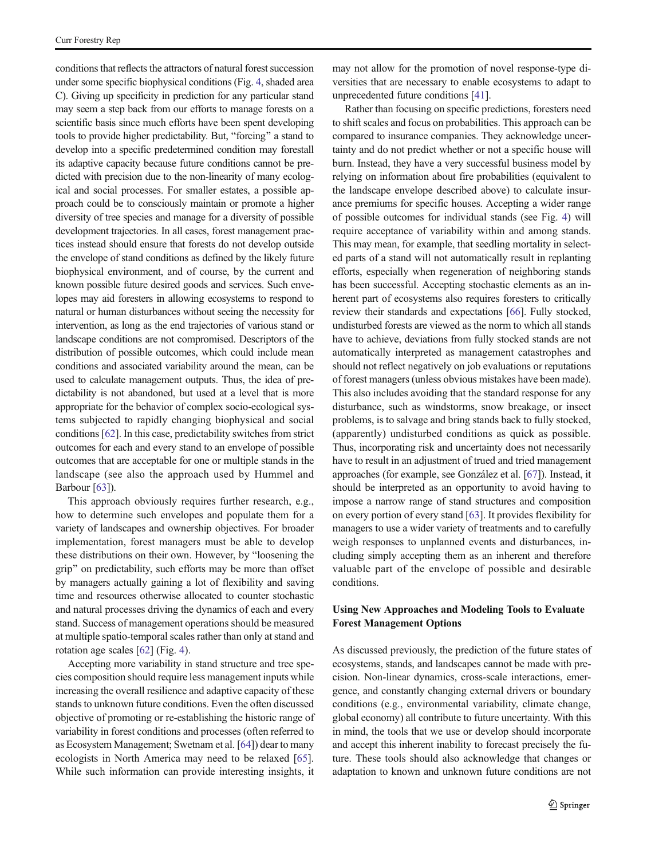conditions that reflects the attractors of natural forest succession under some specific biophysical conditions (Fig. [4](#page-5-0), shaded area C). Giving up specificity in prediction for any particular stand may seem a step back from our efforts to manage forests on a scientific basis since much efforts have been spent developing tools to provide higher predictability. But, "forcing" a stand to develop into a specific predetermined condition may forestall its adaptive capacity because future conditions cannot be predicted with precision due to the non-linearity of many ecological and social processes. For smaller estates, a possible approach could be to consciously maintain or promote a higher diversity of tree species and manage for a diversity of possible development trajectories. In all cases, forest management practices instead should ensure that forests do not develop outside the envelope of stand conditions as defined by the likely future biophysical environment, and of course, by the current and known possible future desired goods and services. Such envelopes may aid foresters in allowing ecosystems to respond to natural or human disturbances without seeing the necessity for intervention, as long as the end trajectories of various stand or landscape conditions are not compromised. Descriptors of the distribution of possible outcomes, which could include mean conditions and associated variability around the mean, can be used to calculate management outputs. Thus, the idea of predictability is not abandoned, but used at a level that is more appropriate for the behavior of complex socio-ecological systems subjected to rapidly changing biophysical and social conditions [\[62](#page-10-0)]. In this case, predictability switches from strict outcomes for each and every stand to an envelope of possible outcomes that are acceptable for one or multiple stands in the landscape (see also the approach used by Hummel and Barbour [[63](#page-10-0)]).

This approach obviously requires further research, e.g., how to determine such envelopes and populate them for a variety of landscapes and ownership objectives. For broader implementation, forest managers must be able to develop these distributions on their own. However, by "loosening the grip^ on predictability, such efforts may be more than offset by managers actually gaining a lot of flexibility and saving time and resources otherwise allocated to counter stochastic and natural processes driving the dynamics of each and every stand. Success of management operations should be measured at multiple spatio-temporal scales rather than only at stand and rotation age scales [\[62](#page-10-0)] (Fig. [4](#page-5-0)).

Accepting more variability in stand structure and tree species composition should require less management inputs while increasing the overall resilience and adaptive capacity of these stands to unknown future conditions. Even the often discussed objective of promoting or re-establishing the historic range of variability in forest conditions and processes (often referred to as Ecosystem Management; Swetnam et al. [\[64](#page-10-0)]) dear to many ecologists in North America may need to be relaxed [\[65](#page-10-0)]. While such information can provide interesting insights, it

may not allow for the promotion of novel response-type diversities that are necessary to enable ecosystems to adapt to unprecedented future conditions [[41\]](#page-10-0).

Rather than focusing on specific predictions, foresters need to shift scales and focus on probabilities. This approach can be compared to insurance companies. They acknowledge uncertainty and do not predict whether or not a specific house will burn. Instead, they have a very successful business model by relying on information about fire probabilities (equivalent to the landscape envelope described above) to calculate insurance premiums for specific houses. Accepting a wider range of possible outcomes for individual stands (see Fig. [4](#page-5-0)) will require acceptance of variability within and among stands. This may mean, for example, that seedling mortality in selected parts of a stand will not automatically result in replanting efforts, especially when regeneration of neighboring stands has been successful. Accepting stochastic elements as an inherent part of ecosystems also requires foresters to critically review their standards and expectations [\[66](#page-10-0)]. Fully stocked, undisturbed forests are viewed as the norm to which all stands have to achieve, deviations from fully stocked stands are not automatically interpreted as management catastrophes and should not reflect negatively on job evaluations or reputations of forest managers (unless obvious mistakes have been made). This also includes avoiding that the standard response for any disturbance, such as windstorms, snow breakage, or insect problems, is to salvage and bring stands back to fully stocked, (apparently) undisturbed conditions as quick as possible. Thus, incorporating risk and uncertainty does not necessarily have to result in an adjustment of trued and tried management approaches (for example, see González et al. [\[67\]](#page-11-0)). Instead, it should be interpreted as an opportunity to avoid having to impose a narrow range of stand structures and composition on every portion of every stand [[63\]](#page-10-0). It provides flexibility for managers to use a wider variety of treatments and to carefully weigh responses to unplanned events and disturbances, including simply accepting them as an inherent and therefore valuable part of the envelope of possible and desirable conditions.

#### Using New Approaches and Modeling Tools to Evaluate Forest Management Options

As discussed previously, the prediction of the future states of ecosystems, stands, and landscapes cannot be made with precision. Non-linear dynamics, cross-scale interactions, emergence, and constantly changing external drivers or boundary conditions (e.g., environmental variability, climate change, global economy) all contribute to future uncertainty. With this in mind, the tools that we use or develop should incorporate and accept this inherent inability to forecast precisely the future. These tools should also acknowledge that changes or adaptation to known and unknown future conditions are not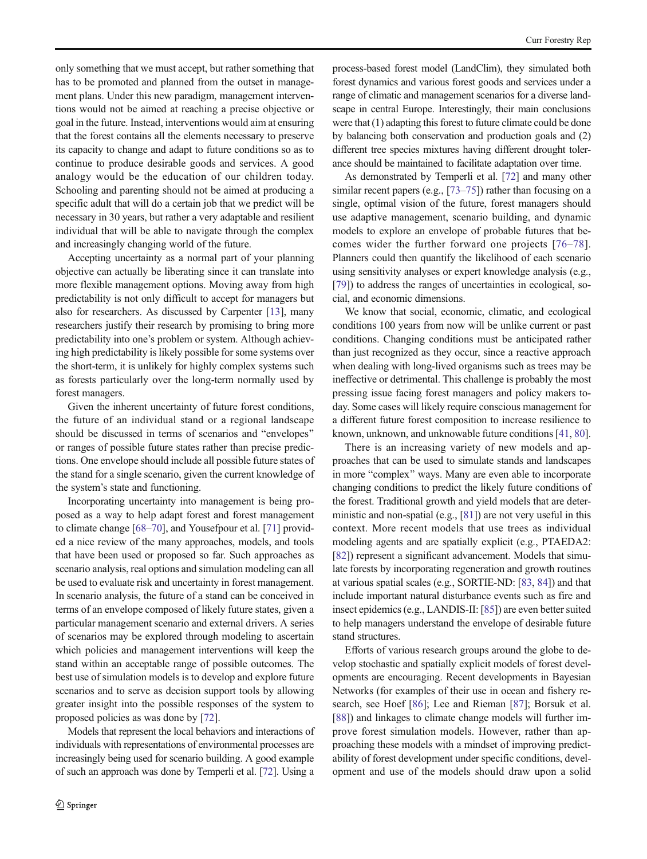only something that we must accept, but rather something that has to be promoted and planned from the outset in management plans. Under this new paradigm, management interventions would not be aimed at reaching a precise objective or goal in the future. Instead, interventions would aim at ensuring that the forest contains all the elements necessary to preserve its capacity to change and adapt to future conditions so as to continue to produce desirable goods and services. A good analogy would be the education of our children today. Schooling and parenting should not be aimed at producing a specific adult that will do a certain job that we predict will be necessary in 30 years, but rather a very adaptable and resilient individual that will be able to navigate through the complex and increasingly changing world of the future.

Accepting uncertainty as a normal part of your planning objective can actually be liberating since it can translate into more flexible management options. Moving away from high predictability is not only difficult to accept for managers but also for researchers. As discussed by Carpenter [\[13](#page-9-0)], many researchers justify their research by promising to bring more predictability into one's problem or system. Although achieving high predictability is likely possible for some systems over the short-term, it is unlikely for highly complex systems such as forests particularly over the long-term normally used by forest managers.

Given the inherent uncertainty of future forest conditions, the future of an individual stand or a regional landscape should be discussed in terms of scenarios and "envelopes" or ranges of possible future states rather than precise predictions. One envelope should include all possible future states of the stand for a single scenario, given the current knowledge of the system's state and functioning.

Incorporating uncertainty into management is being proposed as a way to help adapt forest and forest management to climate change [[68](#page-11-0)–[70](#page-11-0)], and Yousefpour et al. [\[71\]](#page-11-0) provided a nice review of the many approaches, models, and tools that have been used or proposed so far. Such approaches as scenario analysis, real options and simulation modeling can all be used to evaluate risk and uncertainty in forest management. In scenario analysis, the future of a stand can be conceived in terms of an envelope composed of likely future states, given a particular management scenario and external drivers. A series of scenarios may be explored through modeling to ascertain which policies and management interventions will keep the stand within an acceptable range of possible outcomes. The best use of simulation models is to develop and explore future scenarios and to serve as decision support tools by allowing greater insight into the possible responses of the system to proposed policies as was done by [[72](#page-11-0)].

Models that represent the local behaviors and interactions of individuals with representations of environmental processes are increasingly being used for scenario building. A good example of such an approach was done by Temperli et al. [\[72](#page-11-0)]. Using a

process-based forest model (LandClim), they simulated both forest dynamics and various forest goods and services under a range of climatic and management scenarios for a diverse landscape in central Europe. Interestingly, their main conclusions were that (1) adapting this forest to future climate could be done by balancing both conservation and production goals and (2) different tree species mixtures having different drought tolerance should be maintained to facilitate adaptation over time.

As demonstrated by Temperli et al. [\[72\]](#page-11-0) and many other similar recent papers (e.g., [\[73](#page-11-0)–[75\]](#page-11-0)) rather than focusing on a single, optimal vision of the future, forest managers should use adaptive management, scenario building, and dynamic models to explore an envelope of probable futures that becomes wider the further forward one projects [[76](#page-11-0)–[78](#page-11-0)]. Planners could then quantify the likelihood of each scenario using sensitivity analyses or expert knowledge analysis (e.g., [\[79](#page-11-0)]) to address the ranges of uncertainties in ecological, social, and economic dimensions.

We know that social, economic, climatic, and ecological conditions 100 years from now will be unlike current or past conditions. Changing conditions must be anticipated rather than just recognized as they occur, since a reactive approach when dealing with long-lived organisms such as trees may be ineffective or detrimental. This challenge is probably the most pressing issue facing forest managers and policy makers today. Some cases will likely require conscious management for a different future forest composition to increase resilience to known, unknown, and unknowable future conditions [[41](#page-10-0), [80\]](#page-11-0).

There is an increasing variety of new models and approaches that can be used to simulate stands and landscapes in more "complex" ways. Many are even able to incorporate changing conditions to predict the likely future conditions of the forest. Traditional growth and yield models that are deterministic and non-spatial (e.g., [[81](#page-11-0)]) are not very useful in this context. More recent models that use trees as individual modeling agents and are spatially explicit (e.g., PTAEDA2: [\[82](#page-11-0)]) represent a significant advancement. Models that simulate forests by incorporating regeneration and growth routines at various spatial scales (e.g., SORTIE-ND: [\[83,](#page-11-0) [84\]](#page-11-0)) and that include important natural disturbance events such as fire and insect epidemics (e.g., LANDIS-II: [[85](#page-11-0)]) are even better suited to help managers understand the envelope of desirable future stand structures.

Efforts of various research groups around the globe to develop stochastic and spatially explicit models of forest developments are encouraging. Recent developments in Bayesian Networks (for examples of their use in ocean and fishery research, see Hoef [[86\]](#page-11-0); Lee and Rieman [[87\]](#page-11-0); Borsuk et al. [\[88](#page-11-0)]) and linkages to climate change models will further improve forest simulation models. However, rather than approaching these models with a mindset of improving predictability of forest development under specific conditions, development and use of the models should draw upon a solid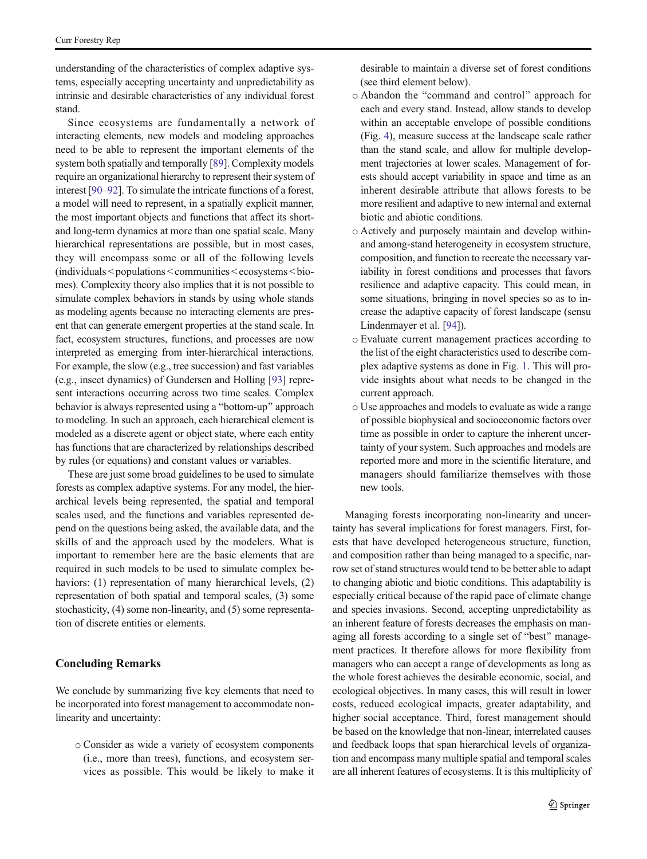understanding of the characteristics of complex adaptive systems, especially accepting uncertainty and unpredictability as intrinsic and desirable characteristics of any individual forest stand.

Since ecosystems are fundamentally a network of interacting elements, new models and modeling approaches need to be able to represent the important elements of the system both spatially and temporally [\[89\]](#page-11-0). Complexity models require an organizational hierarchy to represent their system of interest [\[90](#page-11-0)–[92\]](#page-11-0). To simulate the intricate functions of a forest, a model will need to represent, in a spatially explicit manner, the most important objects and functions that affect its shortand long-term dynamics at more than one spatial scale. Many hierarchical representations are possible, but in most cases, they will encompass some or all of the following levels (individuals < populations < communities < ecosystems < biomes). Complexity theory also implies that it is not possible to simulate complex behaviors in stands by using whole stands as modeling agents because no interacting elements are present that can generate emergent properties at the stand scale. In fact, ecosystem structures, functions, and processes are now interpreted as emerging from inter-hierarchical interactions. For example, the slow (e.g., tree succession) and fast variables (e.g., insect dynamics) of Gundersen and Holling [\[93](#page-11-0)] represent interactions occurring across two time scales. Complex behavior is always represented using a "bottom-up" approach to modeling. In such an approach, each hierarchical element is modeled as a discrete agent or object state, where each entity has functions that are characterized by relationships described by rules (or equations) and constant values or variables.

These are just some broad guidelines to be used to simulate forests as complex adaptive systems. For any model, the hierarchical levels being represented, the spatial and temporal scales used, and the functions and variables represented depend on the questions being asked, the available data, and the skills of and the approach used by the modelers. What is important to remember here are the basic elements that are required in such models to be used to simulate complex behaviors: (1) representation of many hierarchical levels, (2) representation of both spatial and temporal scales, (3) some stochasticity, (4) some non-linearity, and (5) some representation of discrete entities or elements.

#### Concluding Remarks

We conclude by summarizing five key elements that need to be incorporated into forest management to accommodate nonlinearity and uncertainty:

o Consider as wide a variety of ecosystem components (i.e., more than trees), functions, and ecosystem services as possible. This would be likely to make it desirable to maintain a diverse set of forest conditions (see third element below).

- $\circ$  Abandon the "command and control" approach for each and every stand. Instead, allow stands to develop within an acceptable envelope of possible conditions (Fig. [4](#page-5-0)), measure success at the landscape scale rather than the stand scale, and allow for multiple development trajectories at lower scales. Management of forests should accept variability in space and time as an inherent desirable attribute that allows forests to be more resilient and adaptive to new internal and external biotic and abiotic conditions.
- o Actively and purposely maintain and develop withinand among-stand heterogeneity in ecosystem structure, composition, and function to recreate the necessary variability in forest conditions and processes that favors resilience and adaptive capacity. This could mean, in some situations, bringing in novel species so as to increase the adaptive capacity of forest landscape (sensu Lindenmayer et al. [[94\]](#page-11-0)).
- o Evaluate current management practices according to the list of the eight characteristics used to describe complex adaptive systems as done in Fig. [1.](#page-2-0) This will provide insights about what needs to be changed in the current approach.
- o Use approaches and models to evaluate as wide a range of possible biophysical and socioeconomic factors over time as possible in order to capture the inherent uncertainty of your system. Such approaches and models are reported more and more in the scientific literature, and managers should familiarize themselves with those new tools.

Managing forests incorporating non-linearity and uncertainty has several implications for forest managers. First, forests that have developed heterogeneous structure, function, and composition rather than being managed to a specific, narrow set of stand structures would tend to be better able to adapt to changing abiotic and biotic conditions. This adaptability is especially critical because of the rapid pace of climate change and species invasions. Second, accepting unpredictability as an inherent feature of forests decreases the emphasis on managing all forests according to a single set of "best" management practices. It therefore allows for more flexibility from managers who can accept a range of developments as long as the whole forest achieves the desirable economic, social, and ecological objectives. In many cases, this will result in lower costs, reduced ecological impacts, greater adaptability, and higher social acceptance. Third, forest management should be based on the knowledge that non-linear, interrelated causes and feedback loops that span hierarchical levels of organization and encompass many multiple spatial and temporal scales are all inherent features of ecosystems. It is this multiplicity of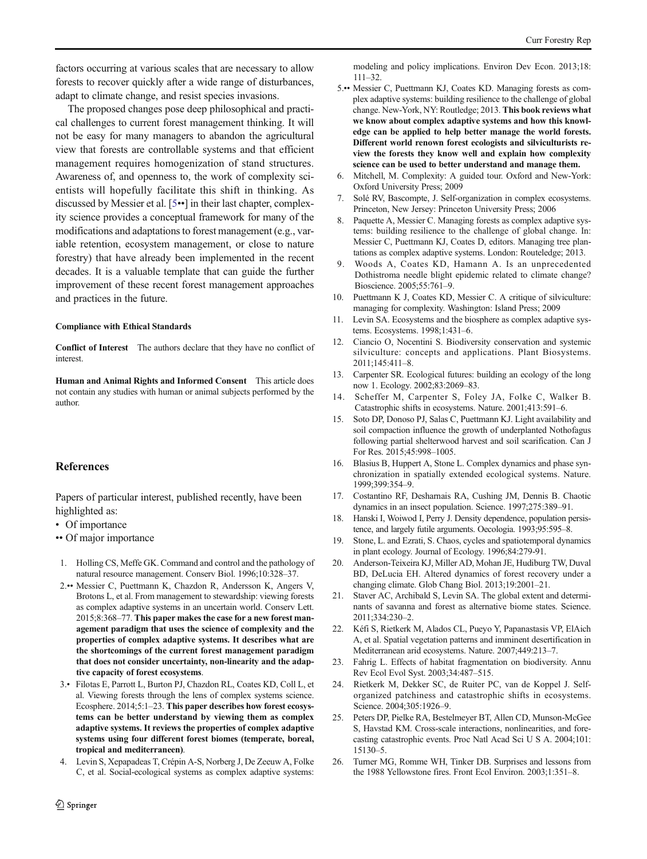<span id="page-9-0"></span>factors occurring at various scales that are necessary to allow forests to recover quickly after a wide range of disturbances, adapt to climate change, and resist species invasions.

The proposed changes pose deep philosophical and practical challenges to current forest management thinking. It will not be easy for many managers to abandon the agricultural view that forests are controllable systems and that efficient management requires homogenization of stand structures. Awareness of, and openness to, the work of complexity scientists will hopefully facilitate this shift in thinking. As discussed by Messier et al. [5••] in their last chapter, complexity science provides a conceptual framework for many of the modifications and adaptations to forest management (e.g., variable retention, ecosystem management, or close to nature forestry) that have already been implemented in the recent decades. It is a valuable template that can guide the further improvement of these recent forest management approaches and practices in the future.

#### Compliance with Ethical Standards

Conflict of Interest The authors declare that they have no conflict of interest.

Human and Animal Rights and Informed Consent This article does not contain any studies with human or animal subjects performed by the author.

#### **References**

Papers of particular interest, published recently, have been highlighted as:

- Of importance
- •• Of major importance
- 1. Holling CS, Meffe GK. Command and control and the pathology of natural resource management. Conserv Biol. 1996;10:328–37.
- 2.•• Messier C, Puettmann K, Chazdon R, Andersson K, Angers V, Brotons L, et al. From management to stewardship: viewing forests as complex adaptive systems in an uncertain world. Conserv Lett. 2015;8:368–77. This paper makes the case for a new forest management paradigm that uses the science of complexity and the properties of complex adaptive systems. It describes what are the shortcomings of the current forest management paradigm that does not consider uncertainty, non-linearity and the adaptive capacity of forest ecosystems.
- 3.• Filotas E, Parrott L, Burton PJ, Chazdon RL, Coates KD, Coll L, et al. Viewing forests through the lens of complex systems science. Ecosphere. 2014;5:1–23. This paper describes how forest ecosystems can be better understand by viewing them as complex adaptive systems. It reviews the properties of complex adaptive systems using four different forest biomes (temperate, boreal, tropical and mediterraneen).
- 4. Levin S, Xepapadeas T, Crépin A-S, Norberg J, De Zeeuw A, Folke C, et al. Social-ecological systems as complex adaptive systems:

modeling and policy implications. Environ Dev Econ. 2013;18: 111–32.

- 5.•• Messier C, Puettmann KJ, Coates KD. Managing forests as complex adaptive systems: building resilience to the challenge of global change. New-York, NY: Routledge; 2013. This book reviews what we know about complex adaptive systems and how this knowledge can be applied to help better manage the world forests. Different world renown forest ecologists and silviculturists review the forests they know well and explain how complexity science can be used to better understand and manage them.
- 6. Mitchell, M. Complexity: A guided tour. Oxford and New-York: Oxford University Press; 2009
- 7. Solé RV, Bascompte, J. Self-organization in complex ecosystems. Princeton, New Jersey: Princeton University Press; 2006
- 8. Paquette A, Messier C. Managing forests as complex adaptive systems: building resilience to the challenge of global change. In: Messier C, Puettmann KJ, Coates D, editors. Managing tree plantations as complex adaptive systems. London: Routeledge; 2013.
- 9. Woods A, Coates KD, Hamann A. Is an unprecedented Dothistroma needle blight epidemic related to climate change? Bioscience. 2005;55:761–9.
- 10. Puettmann K J, Coates KD, Messier C. A critique of silviculture: managing for complexity. Washington: Island Press; 2009
- 11. Levin SA. Ecosystems and the biosphere as complex adaptive systems. Ecosystems. 1998;1:431–6.
- 12. Ciancio O, Nocentini S. Biodiversity conservation and systemic silviculture: concepts and applications. Plant Biosystems. 2011;145:411–8.
- 13. Carpenter SR. Ecological futures: building an ecology of the long now 1. Ecology. 2002;83:2069–83.
- 14. Scheffer M, Carpenter S, Foley JA, Folke C, Walker B. Catastrophic shifts in ecosystems. Nature. 2001;413:591–6.
- 15. Soto DP, Donoso PJ, Salas C, Puettmann KJ. Light availability and soil compaction influence the growth of underplanted Nothofagus following partial shelterwood harvest and soil scarification. Can J For Res. 2015;45:998–1005.
- 16. Blasius B, Huppert A, Stone L. Complex dynamics and phase synchronization in spatially extended ecological systems. Nature. 1999;399:354–9.
- 17. Costantino RF, Desharnais RA, Cushing JM, Dennis B. Chaotic dynamics in an insect population. Science. 1997;275:389–91.
- 18. Hanski I, Woiwod I, Perry J. Density dependence, population persistence, and largely futile arguments. Oecologia. 1993;95:595–8.
- 19. Stone, L. and Ezrati, S. Chaos, cycles and spatiotemporal dynamics in plant ecology. Journal of Ecology. 1996;84:279-91.
- 20. Anderson-Teixeira KJ, Miller AD, Mohan JE, Hudiburg TW, Duval BD, DeLucia EH. Altered dynamics of forest recovery under a changing climate. Glob Chang Biol. 2013;19:2001–21.
- 21. Staver AC, Archibald S, Levin SA. The global extent and determinants of savanna and forest as alternative biome states. Science. 2011;334:230–2.
- 22. Kéfi S, Rietkerk M, Alados CL, Pueyo Y, Papanastasis VP, ElAich A, et al. Spatial vegetation patterns and imminent desertification in Mediterranean arid ecosystems. Nature. 2007;449:213–7.
- 23. Fahrig L. Effects of habitat fragmentation on biodiversity. Annu Rev Ecol Evol Syst. 2003;34:487–515.
- 24. Rietkerk M, Dekker SC, de Ruiter PC, van de Koppel J. Selforganized patchiness and catastrophic shifts in ecosystems. Science. 2004;305:1926–9.
- 25. Peters DP, Pielke RA, Bestelmeyer BT, Allen CD, Munson-McGee S, Havstad KM. Cross-scale interactions, nonlinearities, and forecasting catastrophic events. Proc Natl Acad Sci U S A. 2004;101: 15130–5.
- 26. Turner MG, Romme WH, Tinker DB. Surprises and lessons from the 1988 Yellowstone fires. Front Ecol Environ. 2003;1:351–8.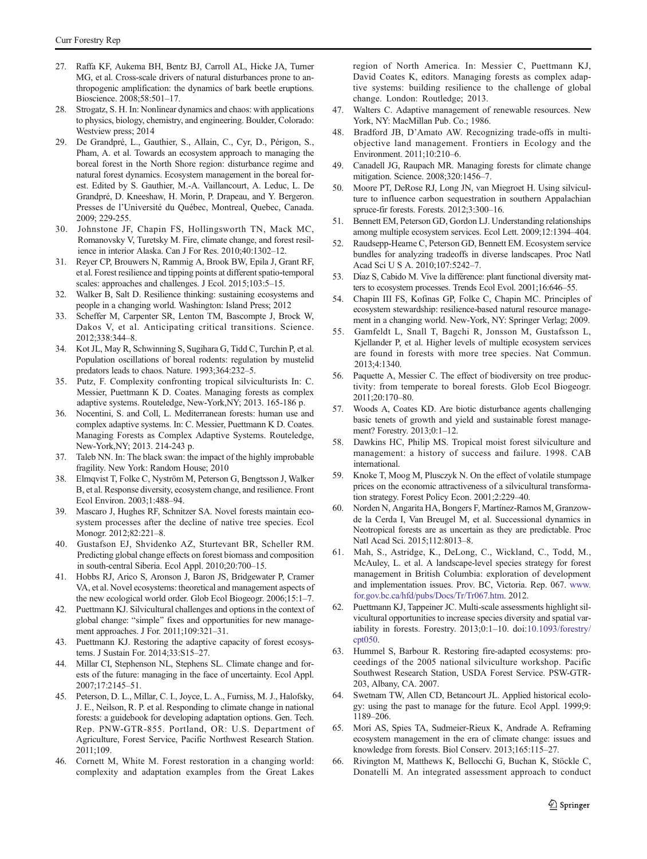- <span id="page-10-0"></span>27. Raffa KF, Aukema BH, Bentz BJ, Carroll AL, Hicke JA, Turner MG, et al. Cross-scale drivers of natural disturbances prone to anthropogenic amplification: the dynamics of bark beetle eruptions. Bioscience. 2008;58:501–17.
- 28. Strogatz, S. H. In: Nonlinear dynamics and chaos: with applications to physics, biology, chemistry, and engineering. Boulder, Colorado: Westview press; 2014
- 29. De Grandpré, L., Gauthier, S., Allain, C., Cyr, D., Périgon, S., Pham, A. et al. Towards an ecosystem approach to managing the boreal forest in the North Shore region: disturbance regime and natural forest dynamics. Ecosystem management in the boreal forest. Edited by S. Gauthier, M.-A. Vaillancourt, A. Leduc, L. De Grandpré, D. Kneeshaw, H. Morin, P. Drapeau, and Y. Bergeron. Presses de l'Université du Québec, Montreal, Quebec, Canada. 2009; 229-255.
- 30. Johnstone JF, Chapin FS, Hollingsworth TN, Mack MC, Romanovsky V, Turetsky M. Fire, climate change, and forest resilience in interior Alaska. Can J For Res. 2010;40:1302–12.
- 31. Reyer CP, Brouwers N, Rammig A, Brook BW, Epila J, Grant RF, et al. Forest resilience and tipping points at different spatio‐temporal scales: approaches and challenges. J Ecol. 2015;103:5–15.
- 32. Walker B, Salt D. Resilience thinking: sustaining ecosystems and people in a changing world. Washington: Island Press; 2012
- 33. Scheffer M, Carpenter SR, Lenton TM, Bascompte J, Brock W, Dakos V, et al. Anticipating critical transitions. Science. 2012;338:344–8.
- 34. Kot JL, May R, Schwinning S, Sugihara G, Tidd С, Turchin P, et al. Population oscillations of boreal rodents: regulation by mustelid predators leads to chaos. Nature. 1993;364:232–5.
- 35. Putz, F. Complexity confronting tropical silviculturists In: C. Messier, Puettmann K D. Coates. Managing forests as complex adaptive systems. Routeledge, New-York,NY; 2013. 165-186 p.
- 36. Nocentini, S. and Coll, L. Mediterranean forests: human use and complex adaptive systems. In: C. Messier, Puettmann K D. Coates. Managing Forests as Complex Adaptive Systems. Routeledge, New-York,NY; 2013. 214-243 p.
- 37. Taleb NN. In: The black swan: the impact of the highly improbable fragility. New York: Random House; 2010
- 38. Elmqvist T, Folke C, Nyström M, Peterson G, Bengtsson J, Walker B, et al. Response diversity, ecosystem change, and resilience. Front Ecol Environ. 2003;1:488–94.
- 39. Mascaro J, Hughes RF, Schnitzer SA. Novel forests maintain ecosystem processes after the decline of native tree species. Ecol Monogr. 2012;82:221–8.
- 40. Gustafson EJ, Shvidenko AZ, Sturtevant BR, Scheller RM. Predicting global change effects on forest biomass and composition in south-central Siberia. Ecol Appl. 2010;20:700–15.
- 41. Hobbs RJ, Arico S, Aronson J, Baron JS, Bridgewater P, Cramer VA, et al. Novel ecosystems: theoretical and management aspects of the new ecological world order. Glob Ecol Biogeogr. 2006;15:1–7.
- 42. Puettmann KJ. Silvicultural challenges and options in the context of global change: "simple" fixes and opportunities for new management approaches. J For. 2011;109:321–31.
- 43. Puettmann KJ. Restoring the adaptive capacity of forest ecosystems. J Sustain For. 2014;33:S15–27.
- 44. Millar CI, Stephenson NL, Stephens SL. Climate change and forests of the future: managing in the face of uncertainty. Ecol Appl. 2007;17:2145–51.
- 45. Peterson, D. L., Millar, C. I., Joyce, L. A., Furniss, M. J., Halofsky, J. E., Neilson, R. P. et al. Responding to climate change in national forests: a guidebook for developing adaptation options. Gen. Tech. Rep. PNW-GTR-855. Portland, OR: U.S. Department of Agriculture, Forest Service, Pacific Northwest Research Station. 2011;109.
- 46. Cornett M, White M. Forest restoration in a changing world: complexity and adaptation examples from the Great Lakes

region of North America. In: Messier C, Puettmann KJ, David Coates K, editors. Managing forests as complex adaptive systems: building resilience to the challenge of global change. London: Routledge; 2013.

- 47. Walters C. Adaptive management of renewable resources. New York, NY: MacMillan Pub. Co.; 1986.
- 48. Bradford JB, D'Amato AW. Recognizing trade-offs in multiobjective land management. Frontiers in Ecology and the Environment. 2011;10:210–6.
- Canadell JG, Raupach MR. Managing forests for climate change mitigation. Science. 2008;320:1456–7.
- 50. Moore PT, DeRose RJ, Long JN, van Miegroet H. Using silviculture to influence carbon sequestration in southern Appalachian spruce-fir forests. Forests. 2012;3:300–16.
- 51. Bennett EM, Peterson GD, Gordon LJ. Understanding relationships among multiple ecosystem services. Ecol Lett. 2009;12:1394–404.
- 52. Raudsepp-Hearne C, Peterson GD, Bennett EM. Ecosystem service bundles for analyzing tradeoffs in diverse landscapes. Proc Natl Acad Sci U S A. 2010;107:5242–7.
- 53. Díaz S, Cabido M. Vive la différence: plant functional diversity matters to ecosystem processes. Trends Ecol Evol. 2001;16:646–55.
- 54. Chapin III FS, Kofinas GP, Folke C, Chapin MC. Principles of ecosystem stewardship: resilience-based natural resource management in a changing world. New-York, NY: Springer Verlag; 2009.
- 55. Gamfeldt L, Snall T, Bagchi R, Jonsson M, Gustafsson L, Kjellander P, et al. Higher levels of multiple ecosystem services are found in forests with more tree species. Nat Commun. 2013;4:1340.
- 56. Paquette A, Messier C. The effect of biodiversity on tree productivity: from temperate to boreal forests. Glob Ecol Biogeogr. 2011;20:170–80.
- 57. Woods A, Coates KD. Are biotic disturbance agents challenging basic tenets of growth and yield and sustainable forest management? Forestry. 2013;0:1–12.
- 58. Dawkins HC, Philip MS. Tropical moist forest silviculture and management: a history of success and failure. 1998. CAB international.
- 59. Knoke T, Moog M, Plusczyk N. On the effect of volatile stumpage prices on the economic attractiveness of a silvicultural transformation strategy. Forest Policy Econ. 2001;2:229–40.
- 60. Norden N, Angarita HA, Bongers F, Martínez-Ramos M, Granzowde la Cerda I, Van Breugel M, et al. Successional dynamics in Neotropical forests are as uncertain as they are predictable. Proc Natl Acad Sci. 2015;112:8013–8.
- 61. Mah, S., Astridge, K., DeLong, C., Wickland, C., Todd, M., McAuley, L. et al. A landscape-level species strategy for forest management in British Columbia: exploration of development and implementation issues. Prov. BC, Victoria. Rep. 067. [www.](http://www.for.gov.bc.ca/hfd/pubs/Docs/Tr/Tr067.htm) [for.gov.bc.ca/hfd/pubs/Docs/Tr/Tr067.htm.](http://www.for.gov.bc.ca/hfd/pubs/Docs/Tr/Tr067.htm) 2012.
- 62. Puettmann KJ, Tappeiner JC. Multi-scale assessments highlight silvicultural opportunities to increase species diversity and spatial variability in forests. Forestry. 2013;0:1–10. doi[:10.1093/forestry/](http://dx.doi.org/10.1093/forestry/cpt050) [cpt050.](http://dx.doi.org/10.1093/forestry/cpt050)
- 63. Hummel S, Barbour R. Restoring fire-adapted ecosystems: proceedings of the 2005 national silviculture workshop. Pacific Southwest Research Station, USDA Forest Service. PSW-GTR-203, Albany, CA. 2007.
- 64. Swetnam TW, Allen CD, Betancourt JL. Applied historical ecology: using the past to manage for the future. Ecol Appl. 1999;9: 1189–206.
- 65. Mori AS, Spies TA, Sudmeier-Rieux K, Andrade A. Reframing ecosystem management in the era of climate change: issues and knowledge from forests. Biol Conserv. 2013;165:115–27.
- 66. Rivington M, Matthews K, Bellocchi G, Buchan K, Stöckle C, Donatelli M. An integrated assessment approach to conduct